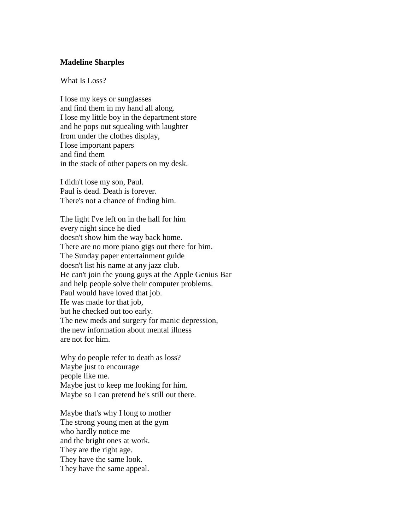## **Madeline Sharples**

What Is Loss?

I lose my keys or sunglasses and find them in my hand all along. I lose my little boy in the department store and he pops out squealing with laughter from under the clothes display, I lose important papers and find them in the stack of other papers on my desk.

I didn't lose my son, Paul. Paul is dead. Death is forever. There's not a chance of finding him.

The light I've left on in the hall for him every night since he died doesn't show him the way back home. There are no more piano gigs out there for him. The Sunday paper entertainment guide doesn't list his name at any jazz club. He can't join the young guys at the Apple Genius Bar and help people solve their computer problems. Paul would have loved that job. He was made for that job, but he checked out too early. The new meds and surgery for manic depression, the new information about mental illness are not for him.

Why do people refer to death as loss? Maybe just to encourage people like me. Maybe just to keep me looking for him. Maybe so I can pretend he's still out there.

Maybe that's why I long to mother The strong young men at the gym who hardly notice me and the bright ones at work. They are the right age. They have the same look. They have the same appeal.